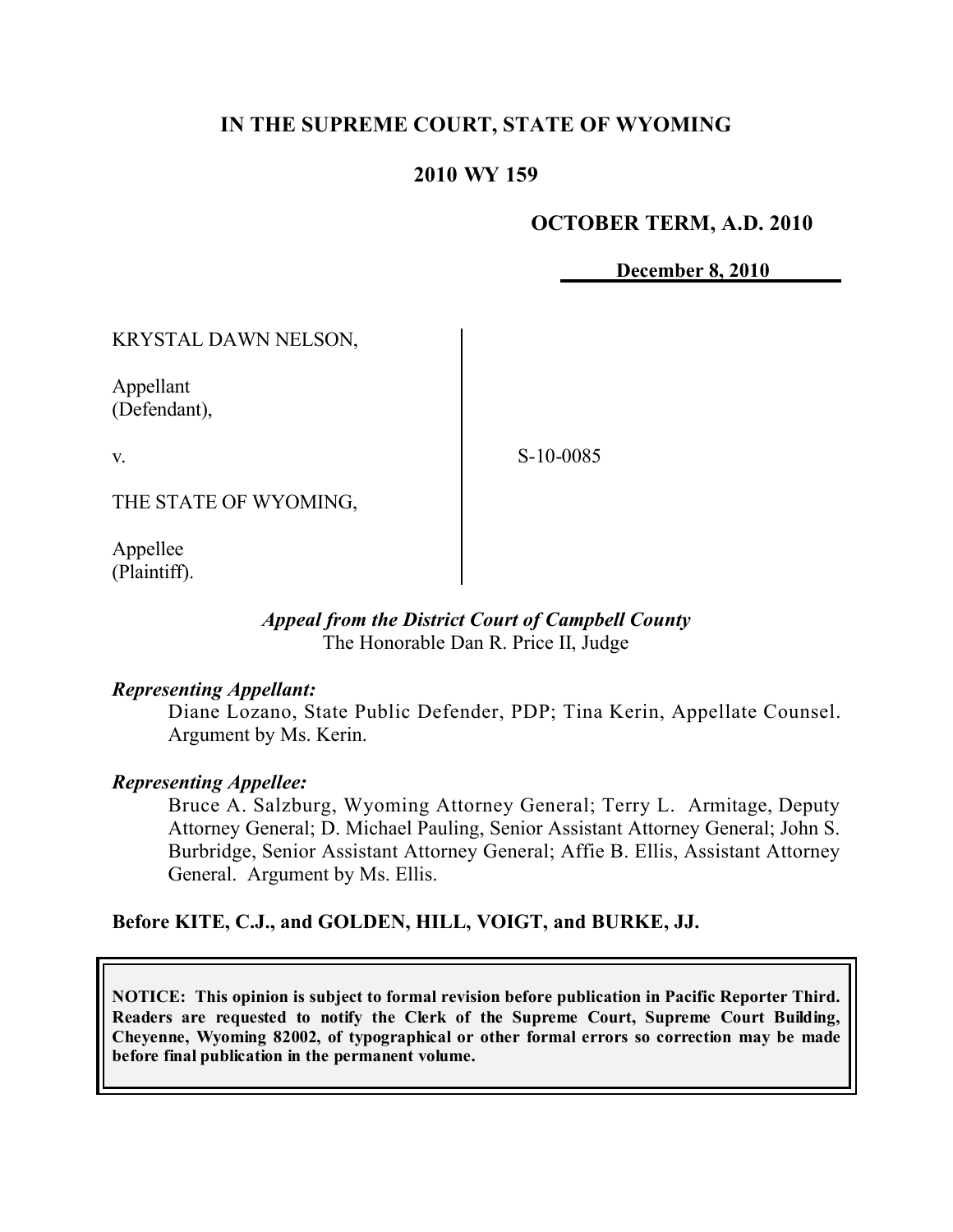# **IN THE SUPREME COURT, STATE OF WYOMING**

### **2010 WY 159**

### **OCTOBER TERM, A.D. 2010**

**December 8, 2010**

KRYSTAL DAWN NELSON,

Appellant (Defendant),

v.

S-10-0085

THE STATE OF WYOMING,

Appellee (Plaintiff).

#### *Appeal from the District Court of Campbell County* The Honorable Dan R. Price II, Judge

### *Representing Appellant:*

Diane Lozano, State Public Defender, PDP; Tina Kerin, Appellate Counsel. Argument by Ms. Kerin.

### *Representing Appellee:*

Bruce A. Salzburg, Wyoming Attorney General; Terry L. Armitage, Deputy Attorney General; D. Michael Pauling, Senior Assistant Attorney General; John S. Burbridge, Senior Assistant Attorney General; Affie B. Ellis, Assistant Attorney General. Argument by Ms. Ellis.

### **Before KITE, C.J., and GOLDEN, HILL, VOIGT, and BURKE, JJ.**

**NOTICE: This opinion is subject to formal revision before publication in Pacific Reporter Third. Readers are requested to notify the Clerk of the Supreme Court, Supreme Court Building, Cheyenne, Wyoming 82002, of typographical or other formal errors so correction may be made before final publication in the permanent volume.**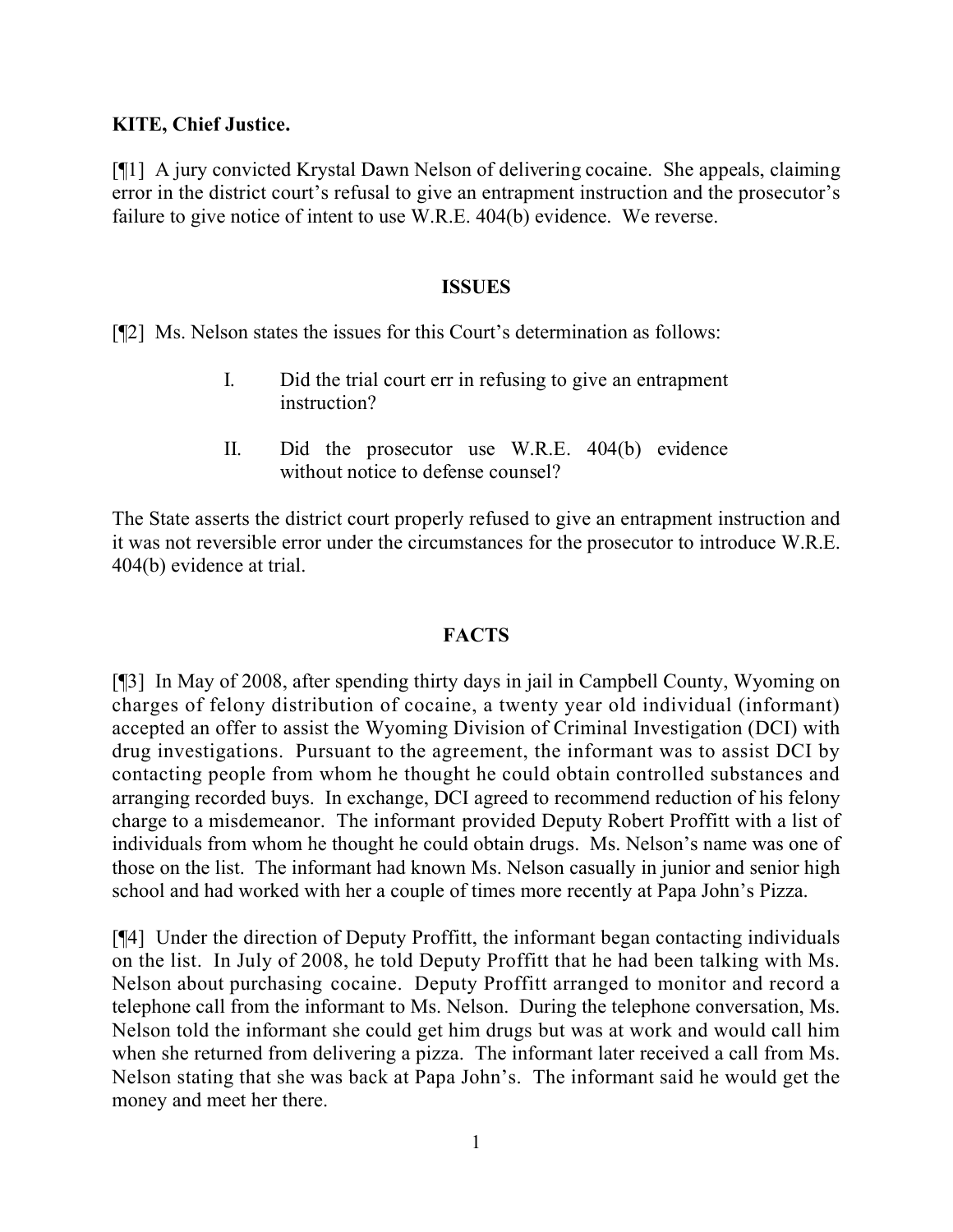### **KITE, Chief Justice.**

[¶1] A jury convicted Krystal Dawn Nelson of delivering cocaine. She appeals, claiming error in the district court's refusal to give an entrapment instruction and the prosecutor's failure to give notice of intent to use W.R.E. 404(b) evidence. We reverse.

#### **ISSUES**

[¶2] Ms. Nelson states the issues for this Court's determination as follows:

- I. Did the trial court err in refusing to give an entrapment instruction?
- II. Did the prosecutor use W.R.E. 404(b) evidence without notice to defense counsel?

The State asserts the district court properly refused to give an entrapment instruction and it was not reversible error under the circumstances for the prosecutor to introduce W.R.E. 404(b) evidence at trial.

### **FACTS**

[¶3] In May of 2008, after spending thirty days in jail in Campbell County, Wyoming on charges of felony distribution of cocaine, a twenty year old individual (informant) accepted an offer to assist the Wyoming Division of Criminal Investigation (DCI) with drug investigations. Pursuant to the agreement, the informant was to assist DCI by contacting people from whom he thought he could obtain controlled substances and arranging recorded buys. In exchange, DCI agreed to recommend reduction of his felony charge to a misdemeanor. The informant provided Deputy Robert Proffitt with a list of individuals from whom he thought he could obtain drugs. Ms. Nelson's name was one of those on the list. The informant had known Ms. Nelson casually in junior and senior high school and had worked with her a couple of times more recently at Papa John's Pizza.

[¶4] Under the direction of Deputy Proffitt, the informant began contacting individuals on the list. In July of 2008, he told Deputy Proffitt that he had been talking with Ms. Nelson about purchasing cocaine. Deputy Proffitt arranged to monitor and record a telephone call from the informant to Ms. Nelson. During the telephone conversation, Ms. Nelson told the informant she could get him drugs but was at work and would call him when she returned from delivering a pizza. The informant later received a call from Ms. Nelson stating that she was back at Papa John's. The informant said he would get the money and meet her there.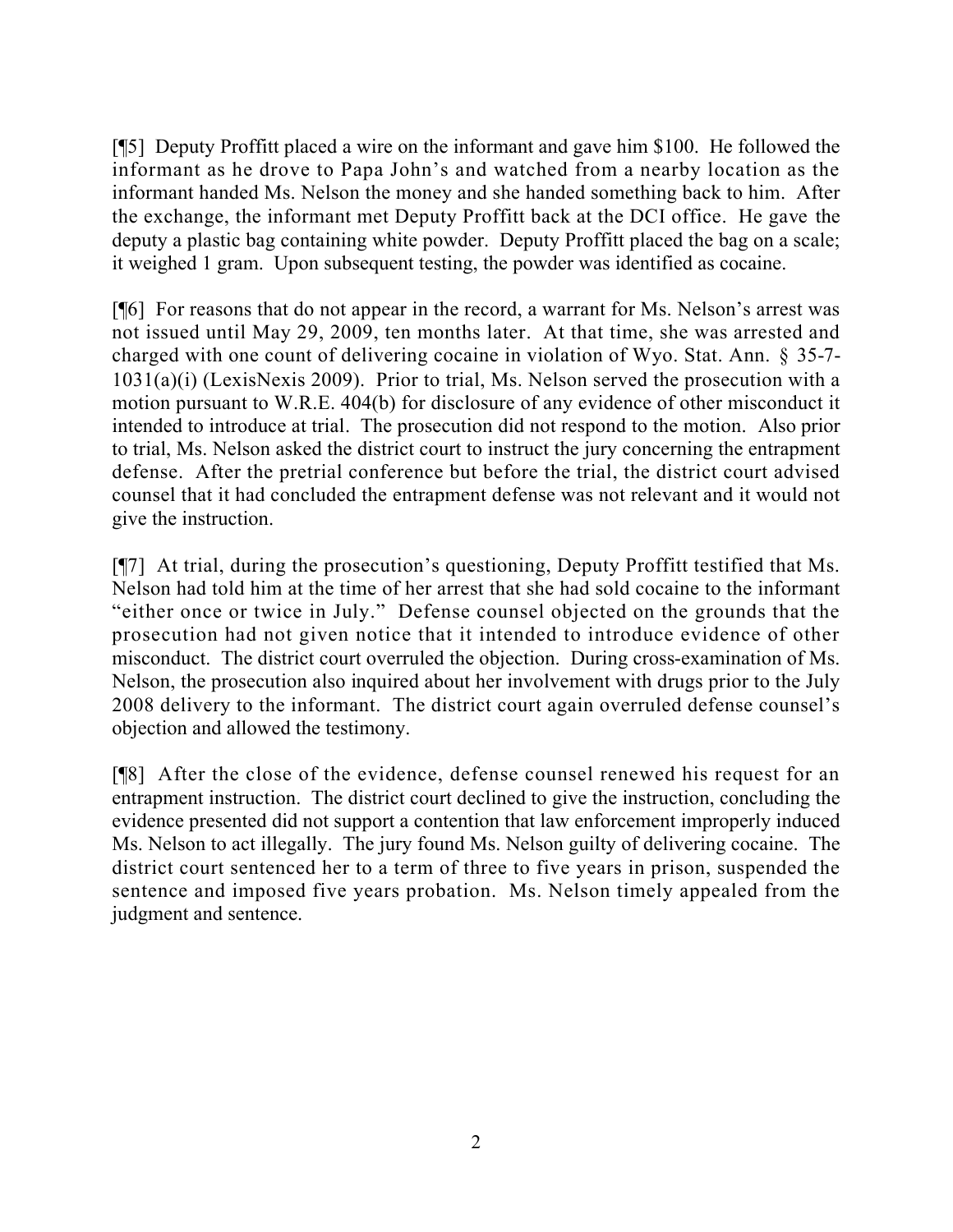[¶5] Deputy Proffitt placed a wire on the informant and gave him \$100. He followed the informant as he drove to Papa John's and watched from a nearby location as the informant handed Ms. Nelson the money and she handed something back to him. After the exchange, the informant met Deputy Proffitt back at the DCI office. He gave the deputy a plastic bag containing white powder. Deputy Proffitt placed the bag on a scale; it weighed 1 gram. Upon subsequent testing, the powder was identified as cocaine.

[¶6] For reasons that do not appear in the record, a warrant for Ms. Nelson's arrest was not issued until May 29, 2009, ten months later. At that time, she was arrested and charged with one count of delivering cocaine in violation of Wyo. Stat. Ann. § 35-7- 1031(a)(i) (LexisNexis 2009). Prior to trial, Ms. Nelson served the prosecution with a motion pursuant to W.R.E. 404(b) for disclosure of any evidence of other misconduct it intended to introduce at trial. The prosecution did not respond to the motion. Also prior to trial, Ms. Nelson asked the district court to instruct the jury concerning the entrapment defense. After the pretrial conference but before the trial, the district court advised counsel that it had concluded the entrapment defense was not relevant and it would not give the instruction.

[¶7] At trial, during the prosecution's questioning, Deputy Proffitt testified that Ms. Nelson had told him at the time of her arrest that she had sold cocaine to the informant "either once or twice in July." Defense counsel objected on the grounds that the prosecution had not given notice that it intended to introduce evidence of other misconduct. The district court overruled the objection. During cross-examination of Ms. Nelson, the prosecution also inquired about her involvement with drugs prior to the July 2008 delivery to the informant. The district court again overruled defense counsel's objection and allowed the testimony.

[¶8] After the close of the evidence, defense counsel renewed his request for an entrapment instruction. The district court declined to give the instruction, concluding the evidence presented did not support a contention that law enforcement improperly induced Ms. Nelson to act illegally. The jury found Ms. Nelson guilty of delivering cocaine. The district court sentenced her to a term of three to five years in prison, suspended the sentence and imposed five years probation. Ms. Nelson timely appealed from the judgment and sentence.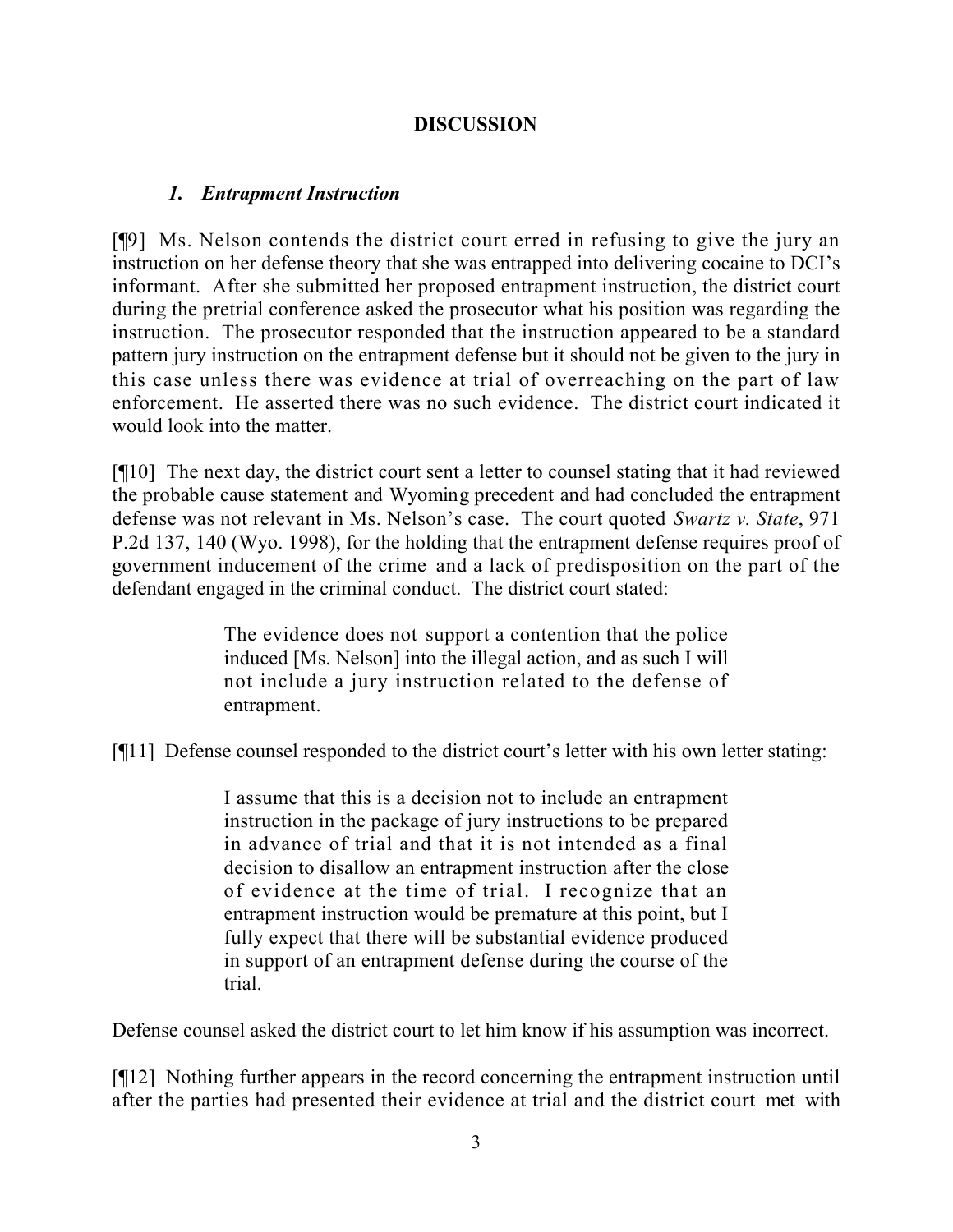# **DISCUSSION**

## *1. Entrapment Instruction*

[¶9] Ms. Nelson contends the district court erred in refusing to give the jury an instruction on her defense theory that she was entrapped into delivering cocaine to DCI's informant. After she submitted her proposed entrapment instruction, the district court during the pretrial conference asked the prosecutor what his position was regarding the instruction. The prosecutor responded that the instruction appeared to be a standard pattern jury instruction on the entrapment defense but it should not be given to the jury in this case unless there was evidence at trial of overreaching on the part of law enforcement. He asserted there was no such evidence. The district court indicated it would look into the matter.

[¶10] The next day, the district court sent a letter to counsel stating that it had reviewed the probable cause statement and Wyoming precedent and had concluded the entrapment defense was not relevant in Ms. Nelson's case. The court quoted *Swartz v. State*, 971 P.2d 137, 140 (Wyo. 1998), for the holding that the entrapment defense requires proof of government inducement of the crime and a lack of predisposition on the part of the defendant engaged in the criminal conduct. The district court stated:

> The evidence does not support a contention that the police induced [Ms. Nelson] into the illegal action, and as such I will not include a jury instruction related to the defense of entrapment.

[¶11] Defense counsel responded to the district court's letter with his own letter stating:

I assume that this is a decision not to include an entrapment instruction in the package of jury instructions to be prepared in advance of trial and that it is not intended as a final decision to disallow an entrapment instruction after the close of evidence at the time of trial. I recognize that an entrapment instruction would be premature at this point, but I fully expect that there will be substantial evidence produced in support of an entrapment defense during the course of the trial.

Defense counsel asked the district court to let him know if his assumption was incorrect.

[¶12] Nothing further appears in the record concerning the entrapment instruction until after the parties had presented their evidence at trial and the district court met with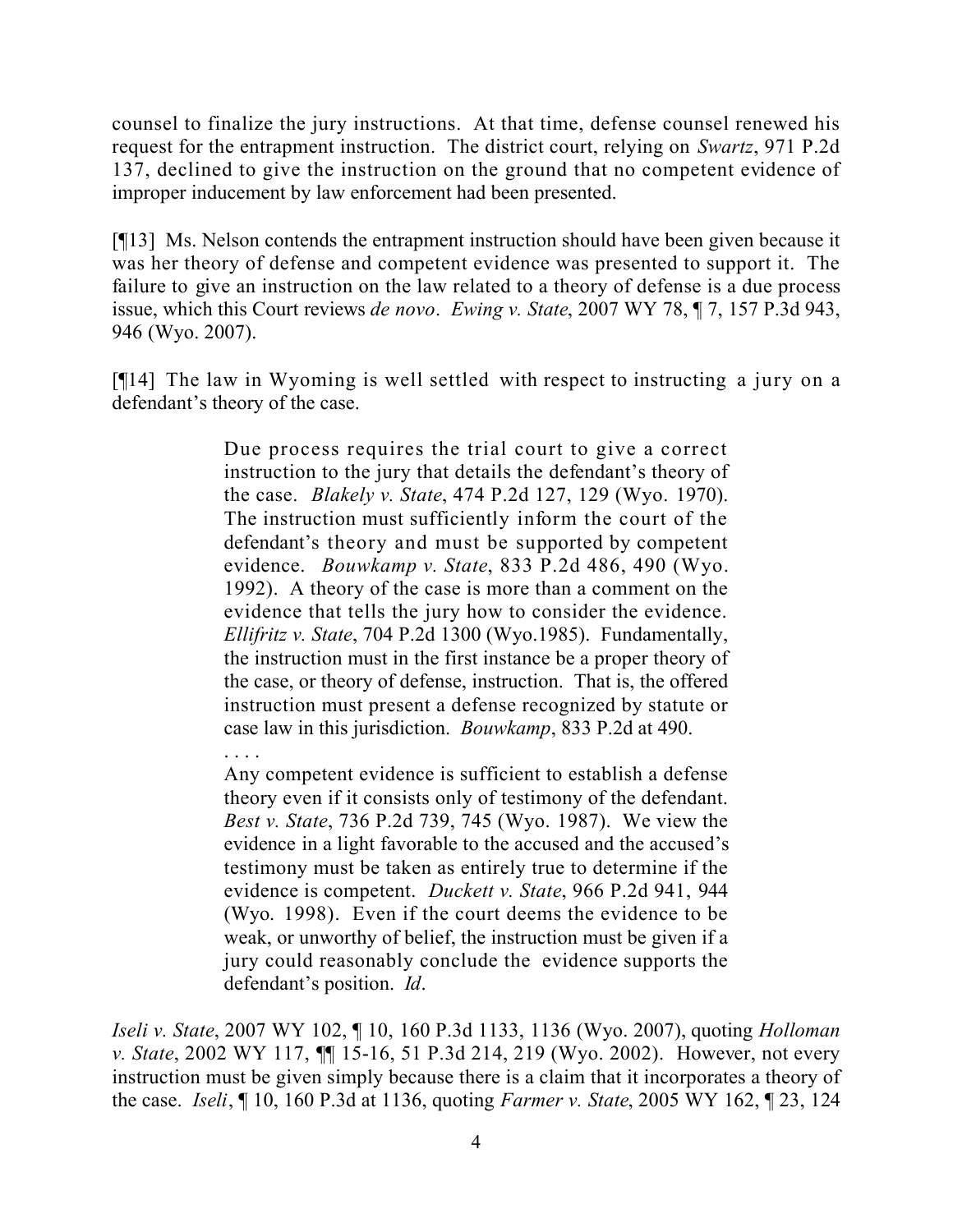counsel to finalize the jury instructions. At that time, defense counsel renewed his request for the entrapment instruction. The district court, relying on *Swartz*, 971 P.2d 137, declined to give the instruction on the ground that no competent evidence of improper inducement by law enforcement had been presented.

[¶13] Ms. Nelson contends the entrapment instruction should have been given because it was her theory of defense and competent evidence was presented to support it. The failure to give an instruction on the law related to a theory of defense is a due process issue, which this Court reviews *de novo*. *Ewing v. State*, 2007 WY 78, ¶ 7, 157 P.3d 943, 946 (Wyo. 2007).

[¶14] The law in Wyoming is well settled with respect to instructing a jury on a defendant's theory of the case.

> Due process requires the trial court to give a correct instruction to the jury that details the defendant's theory of the case. *Blakely v. State*, 474 P.2d 127, 129 (Wyo. 1970). The instruction must sufficiently inform the court of the defendant's theory and must be supported by competent evidence. *Bouwkamp v. State*, 833 P.2d 486, 490 (Wyo. 1992). A theory of the case is more than a comment on the evidence that tells the jury how to consider the evidence. *Ellifritz v. State*, 704 P.2d 1300 (Wyo.1985). Fundamentally, the instruction must in the first instance be a proper theory of the case, or theory of defense, instruction. That is, the offered instruction must present a defense recognized by statute or case law in this jurisdiction. *Bouwkamp*, 833 P.2d at 490.

> Any competent evidence is sufficient to establish a defense theory even if it consists only of testimony of the defendant. *Best v. State*, 736 P.2d 739, 745 (Wyo. 1987). We view the evidence in a light favorable to the accused and the accused's testimony must be taken as entirely true to determine if the evidence is competent. *Duckett v. State*, 966 P.2d 941, 944 (Wyo. 1998). Even if the court deems the evidence to be weak, or unworthy of belief, the instruction must be given if a jury could reasonably conclude the evidence supports the defendant's position. *Id*.

. . . .

*Iseli v. State*, 2007 WY 102, ¶ 10, 160 P.3d 1133, 1136 (Wyo. 2007), quoting *Holloman v. State*, 2002 WY 117, ¶¶ 15-16, 51 P.3d 214, 219 (Wyo. 2002). However, not every instruction must be given simply because there is a claim that it incorporates a theory of the case. *Iseli*, ¶ 10, 160 P.3d at 1136, quoting *Farmer v. State*, 2005 WY 162, ¶ 23, 124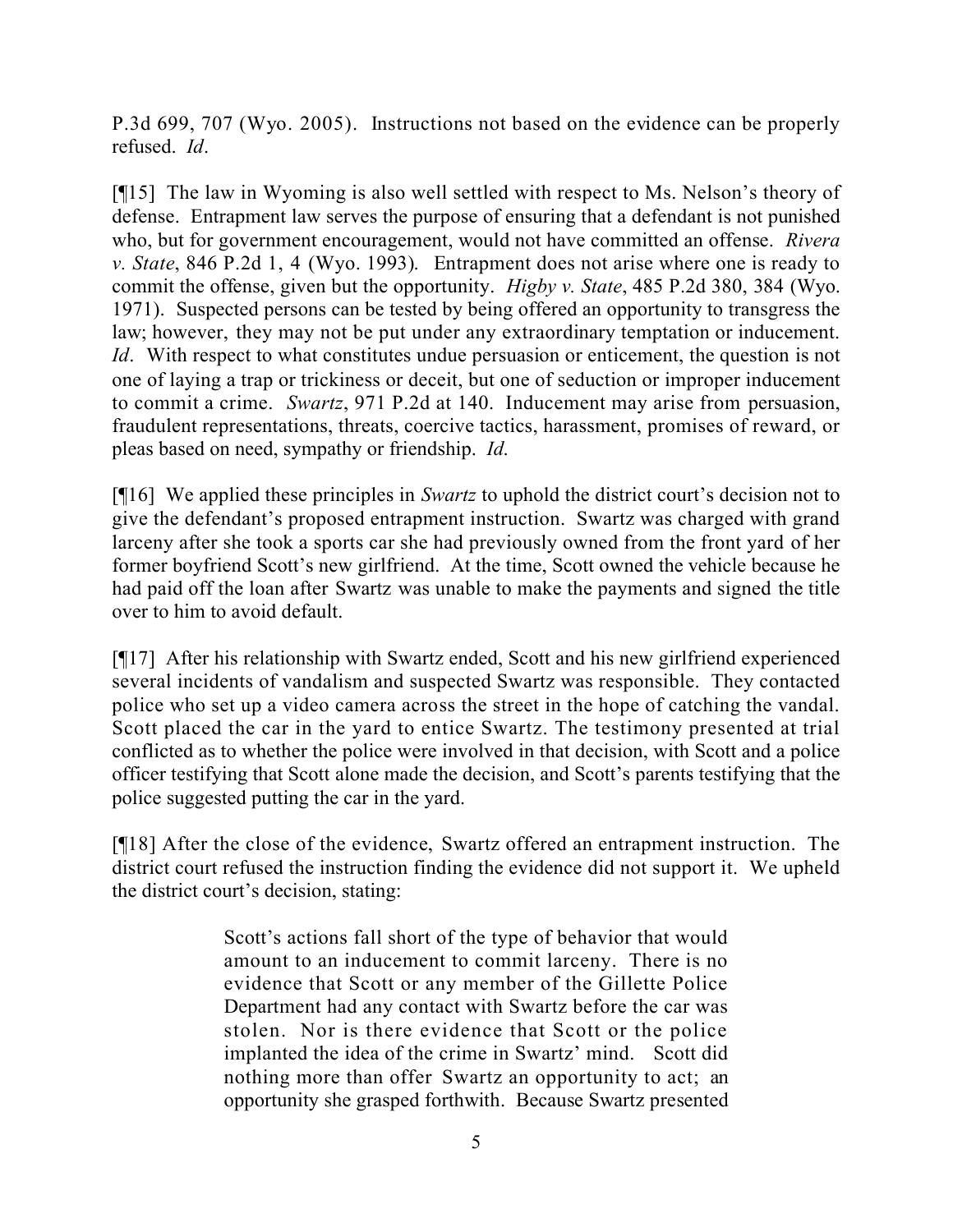P.3d 699, 707 (Wyo. 2005). Instructions not based on the evidence can be properly refused. *Id*.

[¶15] The law in Wyoming is also well settled with respect to Ms. Nelson's theory of defense. Entrapment law serves the purpose of ensuring that a defendant is not punished who, but for government encouragement, would not have committed an offense. *Rivera v. State*, 846 P.2d 1, 4 (Wyo. 1993). Entrapment does not arise where one is ready to commit the offense, given but the opportunity. *Higby v. State*, 485 P.2d 380, 384 (Wyo. 1971). Suspected persons can be tested by being offered an opportunity to transgress the law; however, they may not be put under any extraordinary temptation or inducement. *Id.* With respect to what constitutes undue persuasion or enticement, the question is not one of laying a trap or trickiness or deceit, but one of seduction or improper inducement to commit a crime. *Swartz*, 971 P.2d at 140. Inducement may arise from persuasion, fraudulent representations, threats, coercive tactics, harassment, promises of reward, or pleas based on need, sympathy or friendship. *Id*.

[¶16] We applied these principles in *Swartz* to uphold the district court's decision not to give the defendant's proposed entrapment instruction. Swartz was charged with grand larceny after she took a sports car she had previously owned from the front yard of her former boyfriend Scott's new girlfriend. At the time, Scott owned the vehicle because he had paid off the loan after Swartz was unable to make the payments and signed the title over to him to avoid default.

[¶17] After his relationship with Swartz ended, Scott and his new girlfriend experienced several incidents of vandalism and suspected Swartz was responsible. They contacted police who set up a video camera across the street in the hope of catching the vandal. Scott placed the car in the yard to entice Swartz. The testimony presented at trial conflicted as to whether the police were involved in that decision, with Scott and a police officer testifying that Scott alone made the decision, and Scott's parents testifying that the police suggested putting the car in the yard.

[¶18] After the close of the evidence, Swartz offered an entrapment instruction. The district court refused the instruction finding the evidence did not support it. We upheld the district court's decision, stating:

> Scott's actions fall short of the type of behavior that would amount to an inducement to commit larceny. There is no evidence that Scott or any member of the Gillette Police Department had any contact with Swartz before the car was stolen. Nor is there evidence that Scott or the police implanted the idea of the crime in Swartz' mind. Scott did nothing more than offer Swartz an opportunity to act; an opportunity she grasped forthwith. Because Swartz presented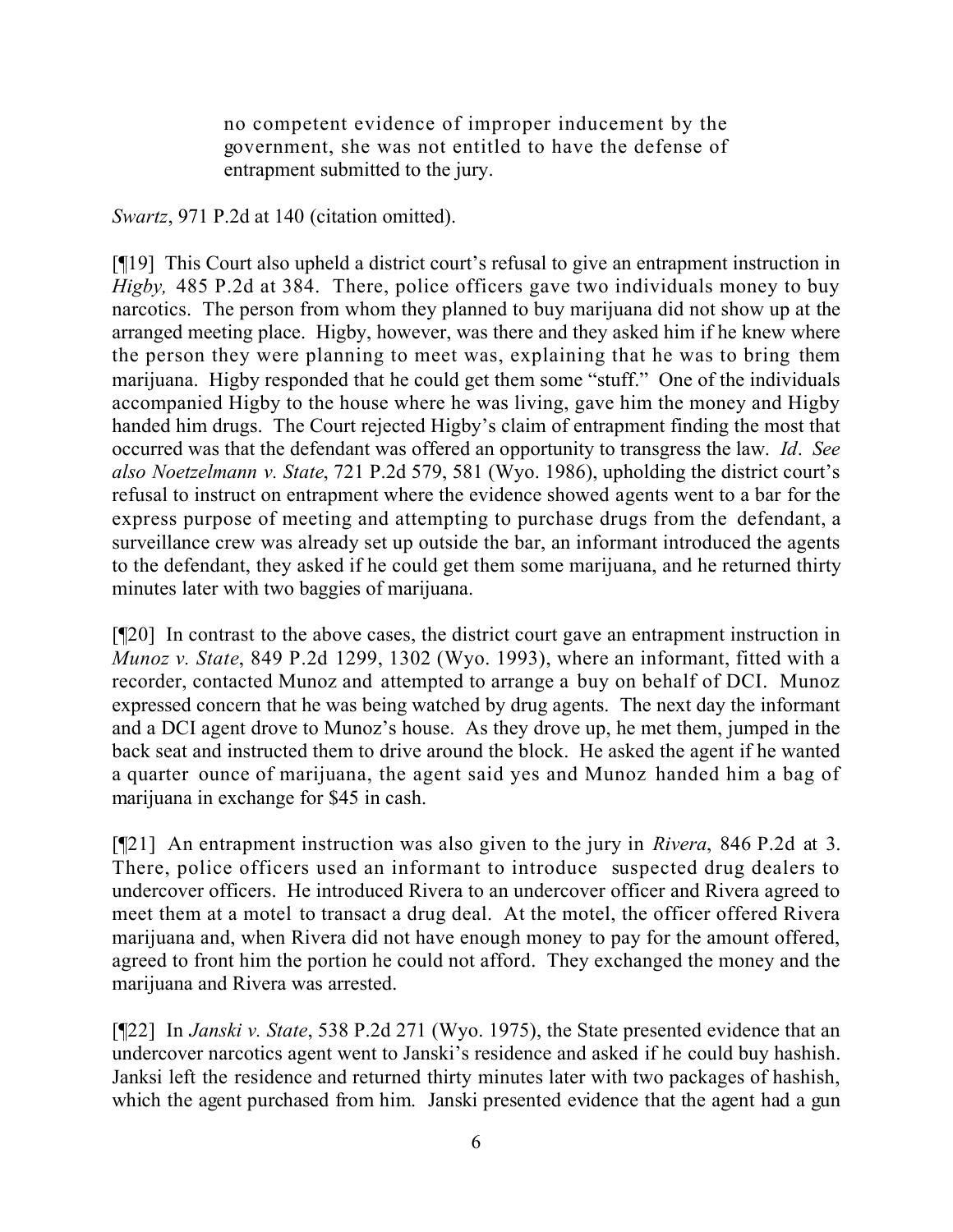no competent evidence of improper inducement by the government, she was not entitled to have the defense of entrapment submitted to the jury.

*Swartz*, 971 P.2d at 140 (citation omitted).

[¶19] This Court also upheld a district court's refusal to give an entrapment instruction in *Higby,* 485 P.2d at 384. There, police officers gave two individuals money to buy narcotics. The person from whom they planned to buy marijuana did not show up at the arranged meeting place. Higby, however, was there and they asked him if he knew where the person they were planning to meet was, explaining that he was to bring them marijuana. Higby responded that he could get them some "stuff." One of the individuals accompanied Higby to the house where he was living, gave him the money and Higby handed him drugs. The Court rejected Higby's claim of entrapment finding the most that occurred was that the defendant was offered an opportunity to transgress the law. *Id*. *See also Noetzelmann v. State*, 721 P.2d 579, 581 (Wyo. 1986), upholding the district court's refusal to instruct on entrapment where the evidence showed agents went to a bar for the express purpose of meeting and attempting to purchase drugs from the defendant, a surveillance crew was already set up outside the bar, an informant introduced the agents to the defendant, they asked if he could get them some marijuana, and he returned thirty minutes later with two baggies of marijuana.

[¶20] In contrast to the above cases, the district court gave an entrapment instruction in *Munoz v. State*, 849 P.2d 1299, 1302 (Wyo. 1993), where an informant, fitted with a recorder, contacted Munoz and attempted to arrange a buy on behalf of DCI. Munoz expressed concern that he was being watched by drug agents. The next day the informant and a DCI agent drove to Munoz's house. As they drove up, he met them, jumped in the back seat and instructed them to drive around the block. He asked the agent if he wanted a quarter ounce of marijuana, the agent said yes and Munoz handed him a bag of marijuana in exchange for \$45 in cash.

[¶21] An entrapment instruction was also given to the jury in *Rivera*, 846 P.2d at 3. There, police officers used an informant to introduce suspected drug dealers to undercover officers. He introduced Rivera to an undercover officer and Rivera agreed to meet them at a motel to transact a drug deal. At the motel, the officer offered Rivera marijuana and, when Rivera did not have enough money to pay for the amount offered, agreed to front him the portion he could not afford. They exchanged the money and the marijuana and Rivera was arrested.

[¶22] In *Janski v. State*, 538 P.2d 271 (Wyo. 1975), the State presented evidence that an undercover narcotics agent went to Janski's residence and asked if he could buy hashish. Janksi left the residence and returned thirty minutes later with two packages of hashish, which the agent purchased from him. Janski presented evidence that the agent had a gun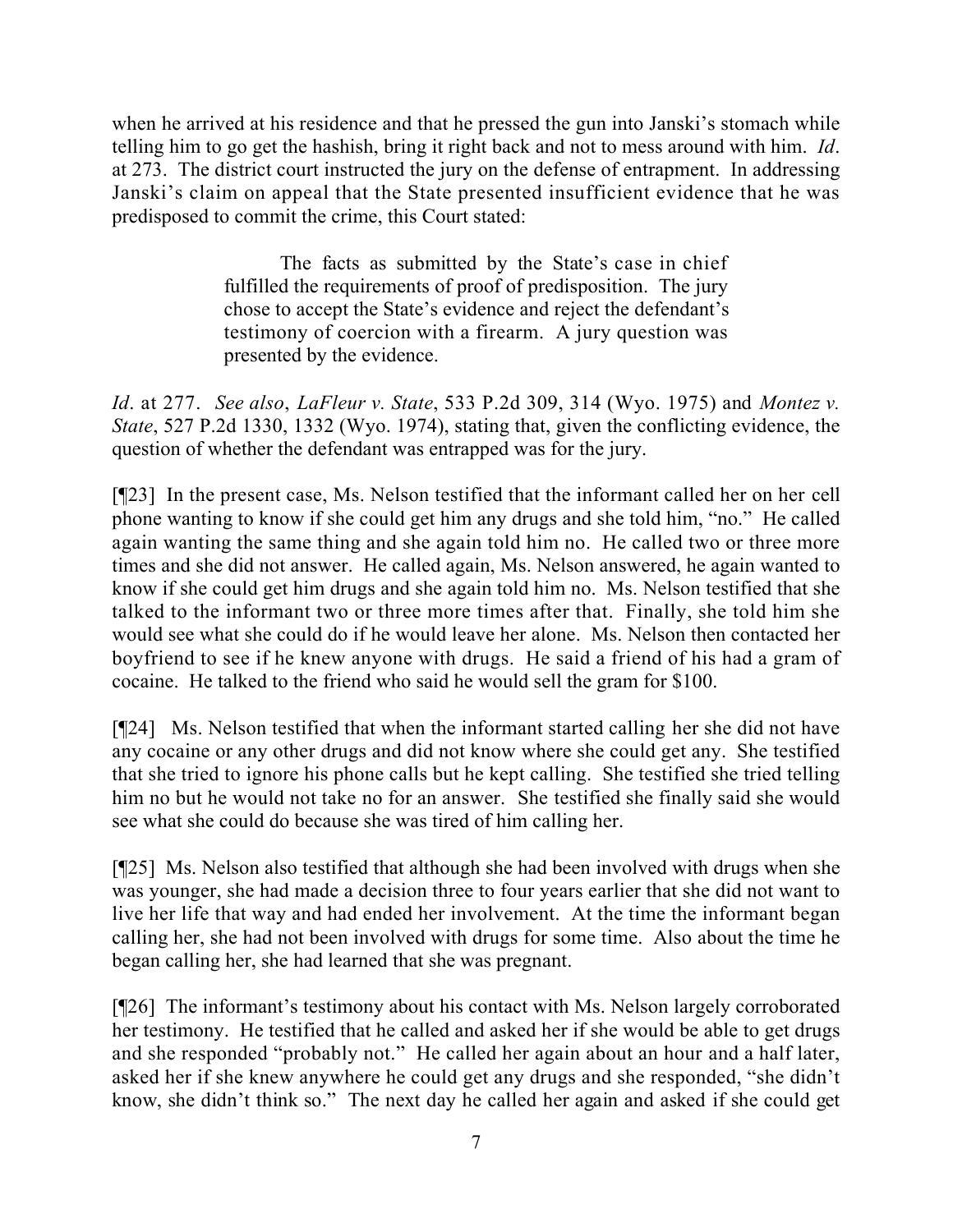when he arrived at his residence and that he pressed the gun into Janski's stomach while telling him to go get the hashish, bring it right back and not to mess around with him. *Id*. at 273. The district court instructed the jury on the defense of entrapment. In addressing Janski's claim on appeal that the State presented insufficient evidence that he was predisposed to commit the crime, this Court stated:

> The facts as submitted by the State's case in chief fulfilled the requirements of proof of predisposition. The jury chose to accept the State's evidence and reject the defendant's testimony of coercion with a firearm. A jury question was presented by the evidence.

*Id*. at 277. *See also*, *LaFleur v. State*, 533 P.2d 309, 314 (Wyo. 1975) and *Montez v. State*, 527 P.2d 1330, 1332 (Wyo. 1974), stating that, given the conflicting evidence, the question of whether the defendant was entrapped was for the jury.

[¶23] In the present case, Ms. Nelson testified that the informant called her on her cell phone wanting to know if she could get him any drugs and she told him, "no." He called again wanting the same thing and she again told him no. He called two or three more times and she did not answer. He called again, Ms. Nelson answered, he again wanted to know if she could get him drugs and she again told him no. Ms. Nelson testified that she talked to the informant two or three more times after that. Finally, she told him she would see what she could do if he would leave her alone. Ms. Nelson then contacted her boyfriend to see if he knew anyone with drugs. He said a friend of his had a gram of cocaine. He talked to the friend who said he would sell the gram for \$100.

[¶24] Ms. Nelson testified that when the informant started calling her she did not have any cocaine or any other drugs and did not know where she could get any. She testified that she tried to ignore his phone calls but he kept calling. She testified she tried telling him no but he would not take no for an answer. She testified she finally said she would see what she could do because she was tired of him calling her.

[¶25] Ms. Nelson also testified that although she had been involved with drugs when she was younger, she had made a decision three to four years earlier that she did not want to live her life that way and had ended her involvement. At the time the informant began calling her, she had not been involved with drugs for some time. Also about the time he began calling her, she had learned that she was pregnant.

[¶26] The informant's testimony about his contact with Ms. Nelson largely corroborated her testimony. He testified that he called and asked her if she would be able to get drugs and she responded "probably not." He called her again about an hour and a half later, asked her if she knew anywhere he could get any drugs and she responded, "she didn't know, she didn't think so." The next day he called her again and asked if she could get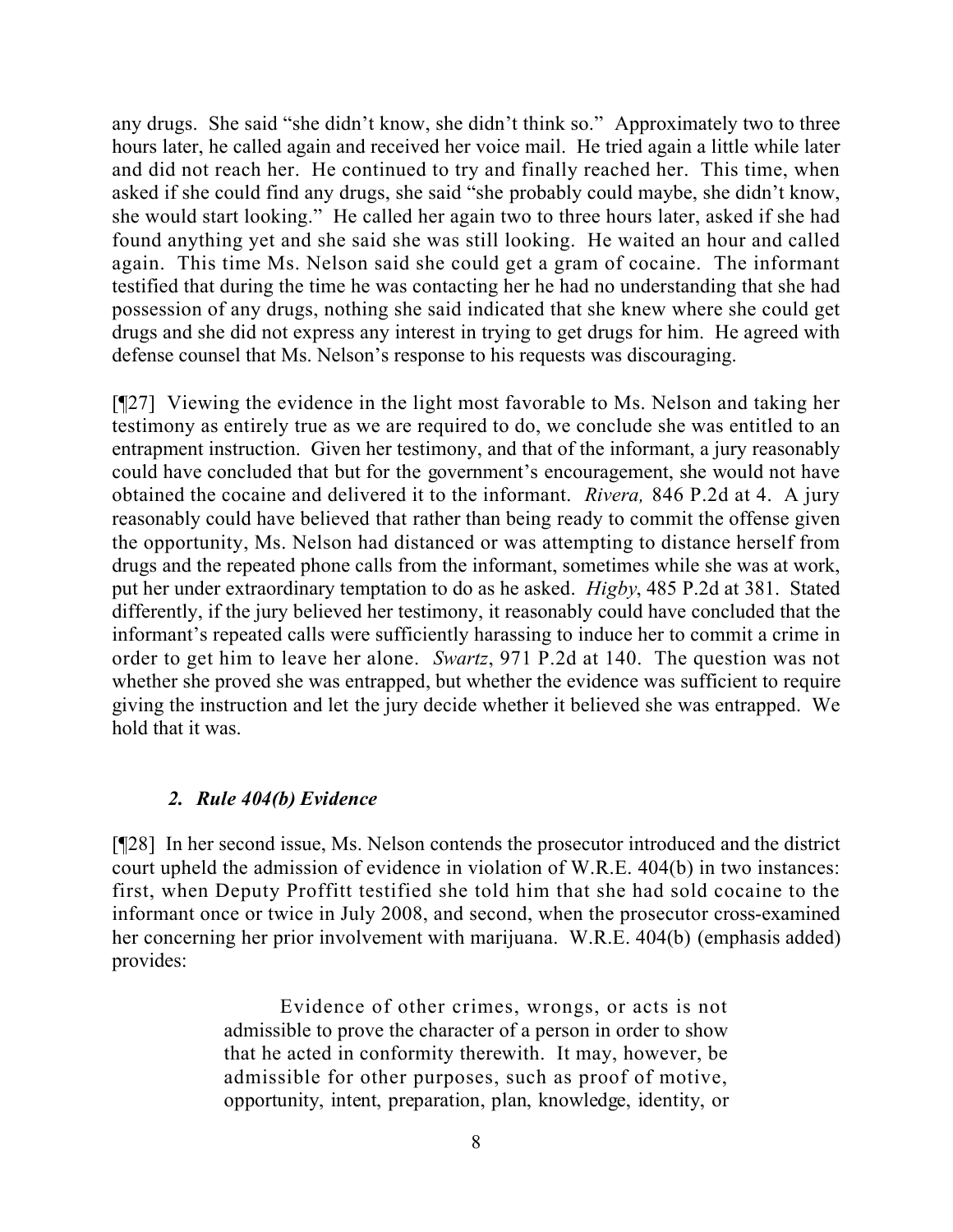any drugs. She said "she didn't know, she didn't think so." Approximately two to three hours later, he called again and received her voice mail. He tried again a little while later and did not reach her. He continued to try and finally reached her. This time, when asked if she could find any drugs, she said "she probably could maybe, she didn't know, she would start looking." He called her again two to three hours later, asked if she had found anything yet and she said she was still looking. He waited an hour and called again. This time Ms. Nelson said she could get a gram of cocaine. The informant testified that during the time he was contacting her he had no understanding that she had possession of any drugs, nothing she said indicated that she knew where she could get drugs and she did not express any interest in trying to get drugs for him. He agreed with defense counsel that Ms. Nelson's response to his requests was discouraging.

[¶27] Viewing the evidence in the light most favorable to Ms. Nelson and taking her testimony as entirely true as we are required to do, we conclude she was entitled to an entrapment instruction. Given her testimony, and that of the informant, a jury reasonably could have concluded that but for the government's encouragement, she would not have obtained the cocaine and delivered it to the informant. *Rivera,* 846 P.2d at 4. A jury reasonably could have believed that rather than being ready to commit the offense given the opportunity, Ms. Nelson had distanced or was attempting to distance herself from drugs and the repeated phone calls from the informant, sometimes while she was at work, put her under extraordinary temptation to do as he asked. *Higby*, 485 P.2d at 381. Stated differently, if the jury believed her testimony, it reasonably could have concluded that the informant's repeated calls were sufficiently harassing to induce her to commit a crime in order to get him to leave her alone. *Swartz*, 971 P.2d at 140. The question was not whether she proved she was entrapped, but whether the evidence was sufficient to require giving the instruction and let the jury decide whether it believed she was entrapped. We hold that it was.

### *2. Rule 404(b) Evidence*

[¶28] In her second issue, Ms. Nelson contends the prosecutor introduced and the district court upheld the admission of evidence in violation of W.R.E. 404(b) in two instances: first, when Deputy Proffitt testified she told him that she had sold cocaine to the informant once or twice in July 2008, and second, when the prosecutor cross-examined her concerning her prior involvement with marijuana. W.R.E. 404(b) (emphasis added) provides:

> Evidence of other crimes, wrongs, or acts is not admissible to prove the character of a person in order to show that he acted in conformity therewith. It may, however, be admissible for other purposes, such as proof of motive, opportunity, intent, preparation, plan, knowledge, identity, or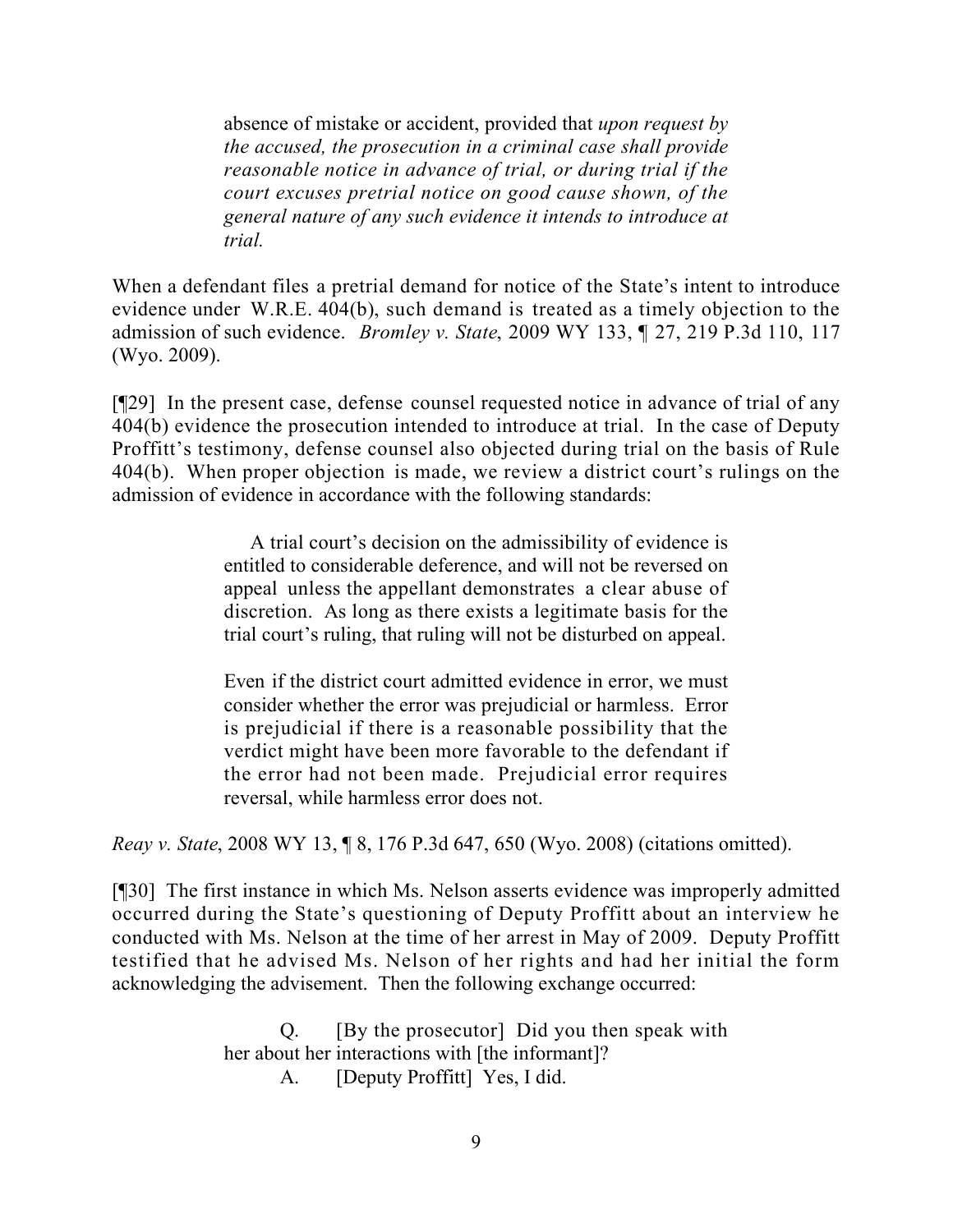absence of mistake or accident, provided that *upon request by the accused, the prosecution in a criminal case shall provide reasonable notice in advance of trial, or during trial if the court excuses pretrial notice on good cause shown, of the general nature of any such evidence it intends to introduce at trial.*

When a defendant files a pretrial demand for notice of the State's intent to introduce evidence under W.R.E. 404(b), such demand is treated as a timely objection to the admission of such evidence. *Bromley v. State*, 2009 WY 133, ¶ 27, 219 P.3d 110, 117 (Wyo. 2009).

[¶29] In the present case, defense counsel requested notice in advance of trial of any 404(b) evidence the prosecution intended to introduce at trial. In the case of Deputy Proffitt's testimony, defense counsel also objected during trial on the basis of Rule 404(b). When proper objection is made, we review a district court's rulings on the admission of evidence in accordance with the following standards:

> A trial court's decision on the admissibility of evidence is entitled to considerable deference, and will not be reversed on appeal unless the appellant demonstrates a clear abuse of discretion. As long as there exists a legitimate basis for the trial court's ruling, that ruling will not be disturbed on appeal.

> Even if the district court admitted evidence in error, we must consider whether the error was prejudicial or harmless. Error is prejudicial if there is a reasonable possibility that the verdict might have been more favorable to the defendant if the error had not been made. Prejudicial error requires reversal, while harmless error does not.

*Reay v. State*, 2008 WY 13, ¶ 8, 176 P.3d 647, 650 (Wyo. 2008) (citations omitted).

[¶30] The first instance in which Ms. Nelson asserts evidence was improperly admitted occurred during the State's questioning of Deputy Proffitt about an interview he conducted with Ms. Nelson at the time of her arrest in May of 2009. Deputy Proffitt testified that he advised Ms. Nelson of her rights and had her initial the form acknowledging the advisement. Then the following exchange occurred:

> Q. [By the prosecutor] Did you then speak with her about her interactions with [the informant]? A. [Deputy Proffitt] Yes, I did.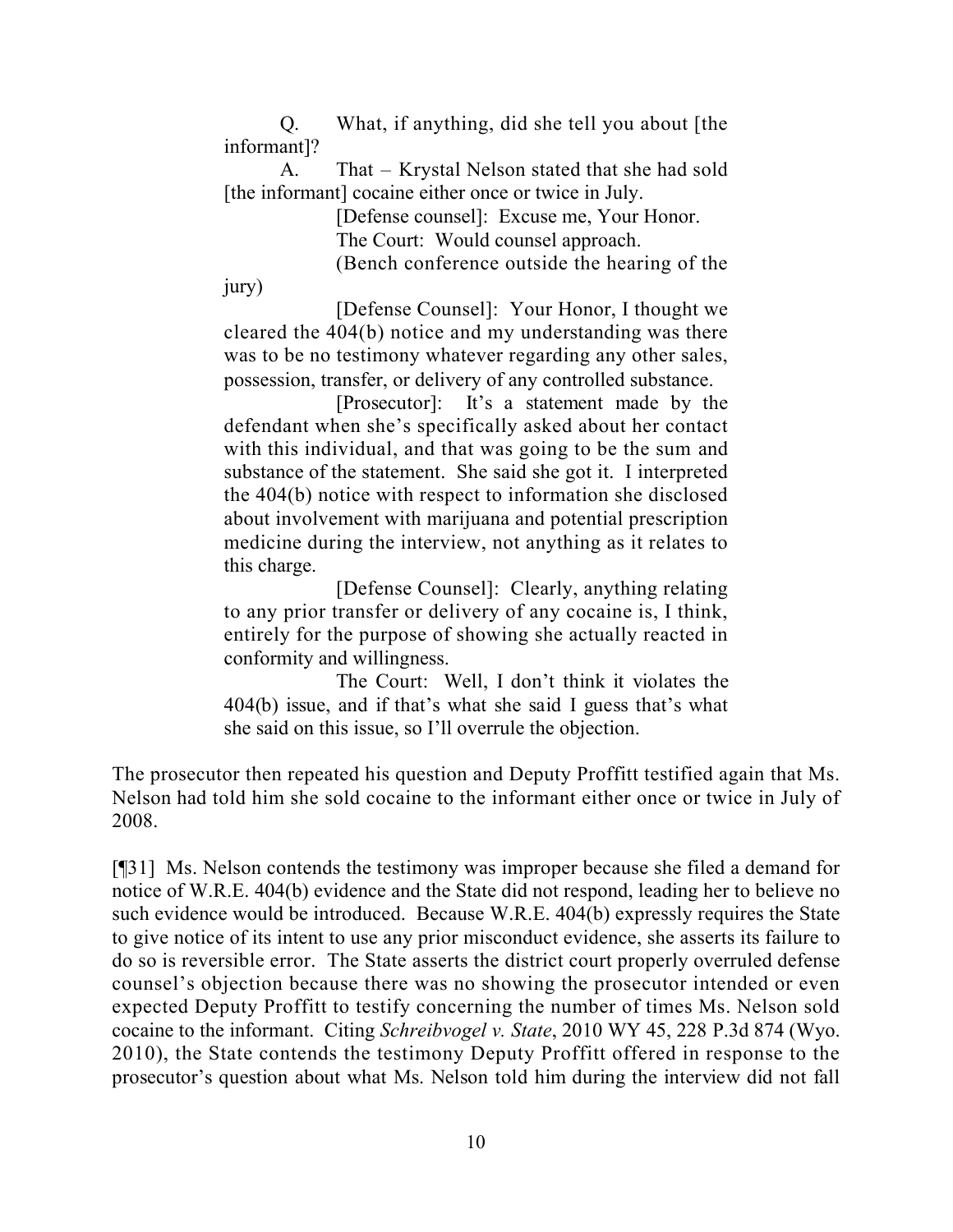Q. What, if anything, did she tell you about [the informant]?

A. That – Krystal Nelson stated that she had sold [the informant] cocaine either once or twice in July.

[Defense counsel]: Excuse me, Your Honor.

The Court: Would counsel approach.

(Bench conference outside the hearing of the

jury)

[Defense Counsel]: Your Honor, I thought we cleared the 404(b) notice and my understanding was there was to be no testimony whatever regarding any other sales, possession, transfer, or delivery of any controlled substance.

[Prosecutor]: It's a statement made by the defendant when she's specifically asked about her contact with this individual, and that was going to be the sum and substance of the statement. She said she got it. I interpreted the 404(b) notice with respect to information she disclosed about involvement with marijuana and potential prescription medicine during the interview, not anything as it relates to this charge.

[Defense Counsel]: Clearly, anything relating to any prior transfer or delivery of any cocaine is, I think, entirely for the purpose of showing she actually reacted in conformity and willingness.

The Court: Well, I don't think it violates the 404(b) issue, and if that's what she said I guess that's what she said on this issue, so I'll overrule the objection.

The prosecutor then repeated his question and Deputy Proffitt testified again that Ms. Nelson had told him she sold cocaine to the informant either once or twice in July of 2008.

[¶31] Ms. Nelson contends the testimony was improper because she filed a demand for notice of W.R.E. 404(b) evidence and the State did not respond, leading her to believe no such evidence would be introduced. Because W.R.E. 404(b) expressly requires the State to give notice of its intent to use any prior misconduct evidence, she asserts its failure to do so is reversible error. The State asserts the district court properly overruled defense counsel's objection because there was no showing the prosecutor intended or even expected Deputy Proffitt to testify concerning the number of times Ms. Nelson sold cocaine to the informant. Citing *Schreibvogel v. State*, 2010 WY 45, 228 P.3d 874 (Wyo. 2010), the State contends the testimony Deputy Proffitt offered in response to the prosecutor's question about what Ms. Nelson told him during the interview did not fall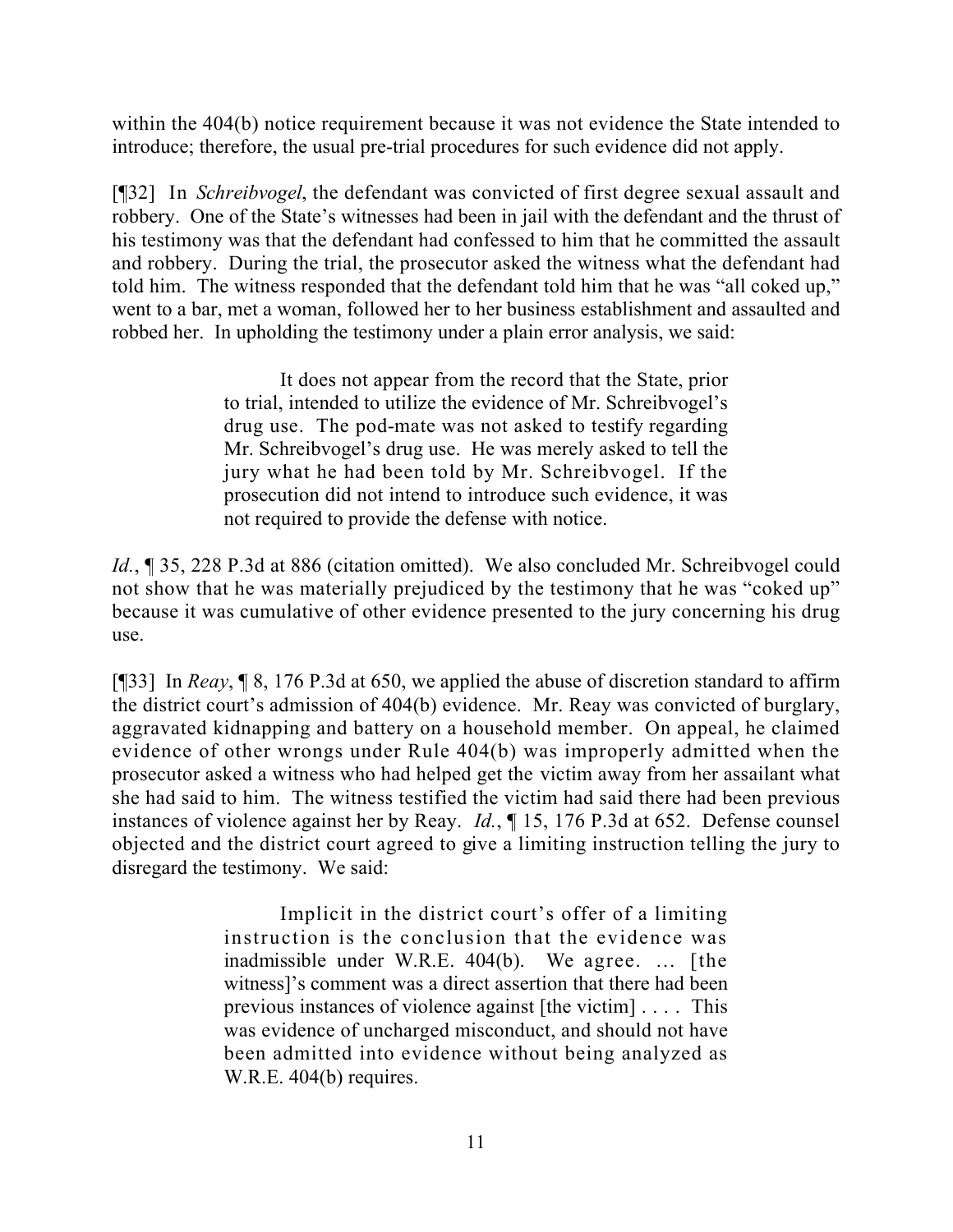within the 404(b) notice requirement because it was not evidence the State intended to introduce; therefore, the usual pre-trial procedures for such evidence did not apply.

[¶32] In *Schreibvogel*, the defendant was convicted of first degree sexual assault and robbery. One of the State's witnesses had been in jail with the defendant and the thrust of his testimony was that the defendant had confessed to him that he committed the assault and robbery. During the trial, the prosecutor asked the witness what the defendant had told him. The witness responded that the defendant told him that he was "all coked up," went to a bar, met a woman, followed her to her business establishment and assaulted and robbed her. In upholding the testimony under a plain error analysis, we said:

> It does not appear from the record that the State, prior to trial, intended to utilize the evidence of Mr. Schreibvogel's drug use. The pod-mate was not asked to testify regarding Mr. Schreibvogel's drug use. He was merely asked to tell the jury what he had been told by Mr. Schreibvogel. If the prosecution did not intend to introduce such evidence, it was not required to provide the defense with notice.

*Id.*, **[35, 228 P.3d at 886 (citation omitted).** We also concluded Mr. Schreibvogel could not show that he was materially prejudiced by the testimony that he was "coked up" because it was cumulative of other evidence presented to the jury concerning his drug use.

[¶33] In *Reay*, ¶ 8, 176 P.3d at 650, we applied the abuse of discretion standard to affirm the district court's admission of 404(b) evidence. Mr. Reay was convicted of burglary, aggravated kidnapping and battery on a household member. On appeal, he claimed evidence of other wrongs under Rule 404(b) was improperly admitted when the prosecutor asked a witness who had helped get the victim away from her assailant what she had said to him. The witness testified the victim had said there had been previous instances of violence against her by Reay. *Id.*, ¶ 15, 176 P.3d at 652. Defense counsel objected and the district court agreed to give a limiting instruction telling the jury to disregard the testimony. We said:

> Implicit in the district court's offer of a limiting instruction is the conclusion that the evidence was inadmissible under W.R.E. 404(b). We agree. … [the witness]'s comment was a direct assertion that there had been previous instances of violence against [the victim] . . . . This was evidence of uncharged misconduct, and should not have been admitted into evidence without being analyzed as W.R.E. 404(b) requires.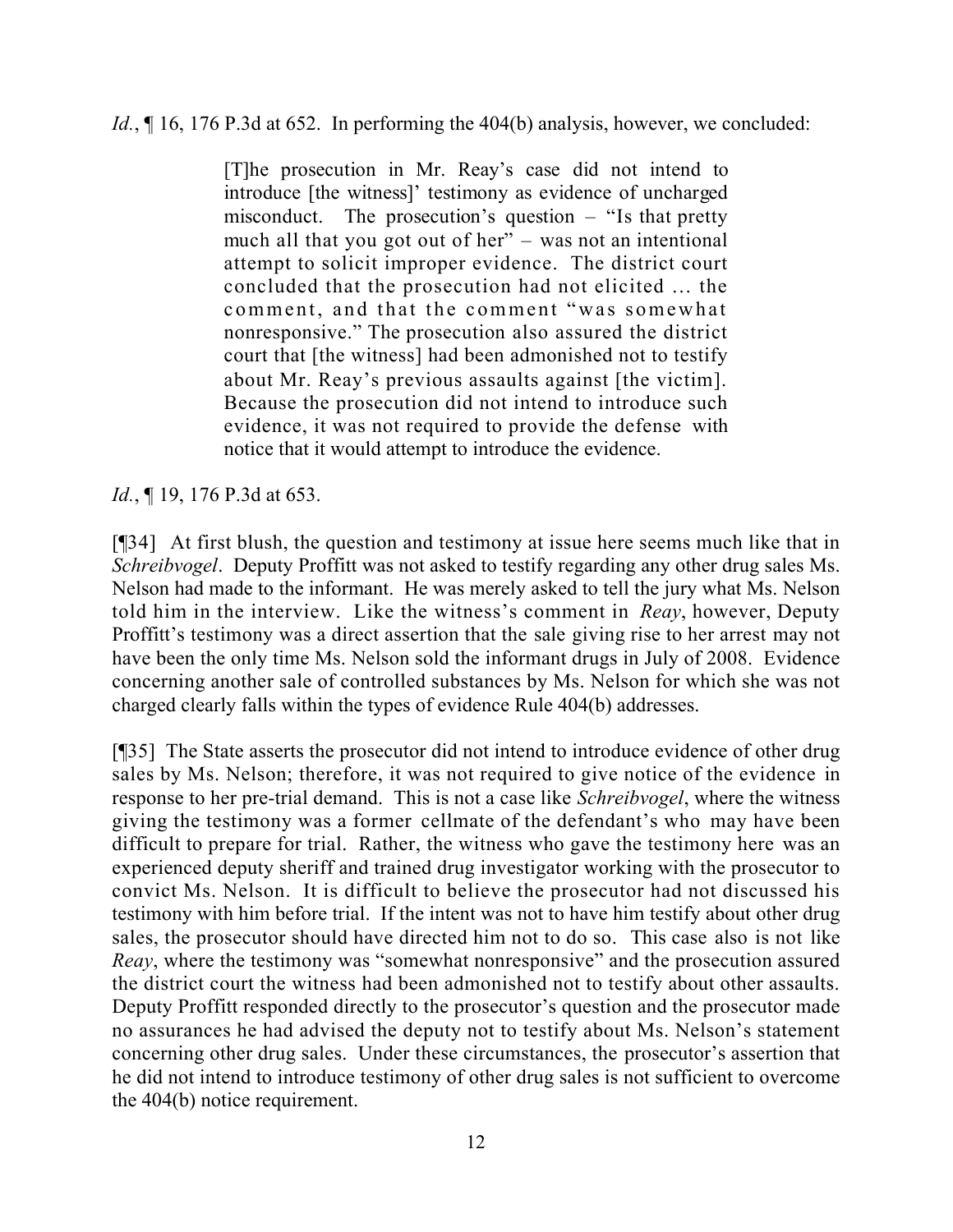*Id.*,  $\P$  16, 176 P.3d at 652. In performing the 404(b) analysis, however, we concluded:

[T]he prosecution in Mr. Reay's case did not intend to introduce [the witness]' testimony as evidence of uncharged misconduct. The prosecution's question – "Is that pretty much all that you got out of her" – was not an intentional attempt to solicit improper evidence. The district court concluded that the prosecution had not elicited … the comment, and that the comment "was somewhat nonresponsive." The prosecution also assured the district court that [the witness] had been admonished not to testify about Mr. Reay's previous assaults against [the victim]. Because the prosecution did not intend to introduce such evidence, it was not required to provide the defense with notice that it would attempt to introduce the evidence.

*Id.*, **[19, 176 P.3d at 653.** 

[¶34] At first blush, the question and testimony at issue here seems much like that in *Schreibvogel*. Deputy Proffitt was not asked to testify regarding any other drug sales Ms. Nelson had made to the informant. He was merely asked to tell the jury what Ms. Nelson told him in the interview. Like the witness's comment in *Reay*, however, Deputy Proffitt's testimony was a direct assertion that the sale giving rise to her arrest may not have been the only time Ms. Nelson sold the informant drugs in July of 2008. Evidence concerning another sale of controlled substances by Ms. Nelson for which she was not charged clearly falls within the types of evidence Rule 404(b) addresses.

[¶35] The State asserts the prosecutor did not intend to introduce evidence of other drug sales by Ms. Nelson; therefore, it was not required to give notice of the evidence in response to her pre-trial demand. This is not a case like *Schreibvogel*, where the witness giving the testimony was a former cellmate of the defendant's who may have been difficult to prepare for trial. Rather, the witness who gave the testimony here was an experienced deputy sheriff and trained drug investigator working with the prosecutor to convict Ms. Nelson. It is difficult to believe the prosecutor had not discussed his testimony with him before trial. If the intent was not to have him testify about other drug sales, the prosecutor should have directed him not to do so. This case also is not like *Reay*, where the testimony was "somewhat nonresponsive" and the prosecution assured the district court the witness had been admonished not to testify about other assaults. Deputy Proffitt responded directly to the prosecutor's question and the prosecutor made no assurances he had advised the deputy not to testify about Ms. Nelson's statement concerning other drug sales. Under these circumstances, the prosecutor's assertion that he did not intend to introduce testimony of other drug sales is not sufficient to overcome the 404(b) notice requirement.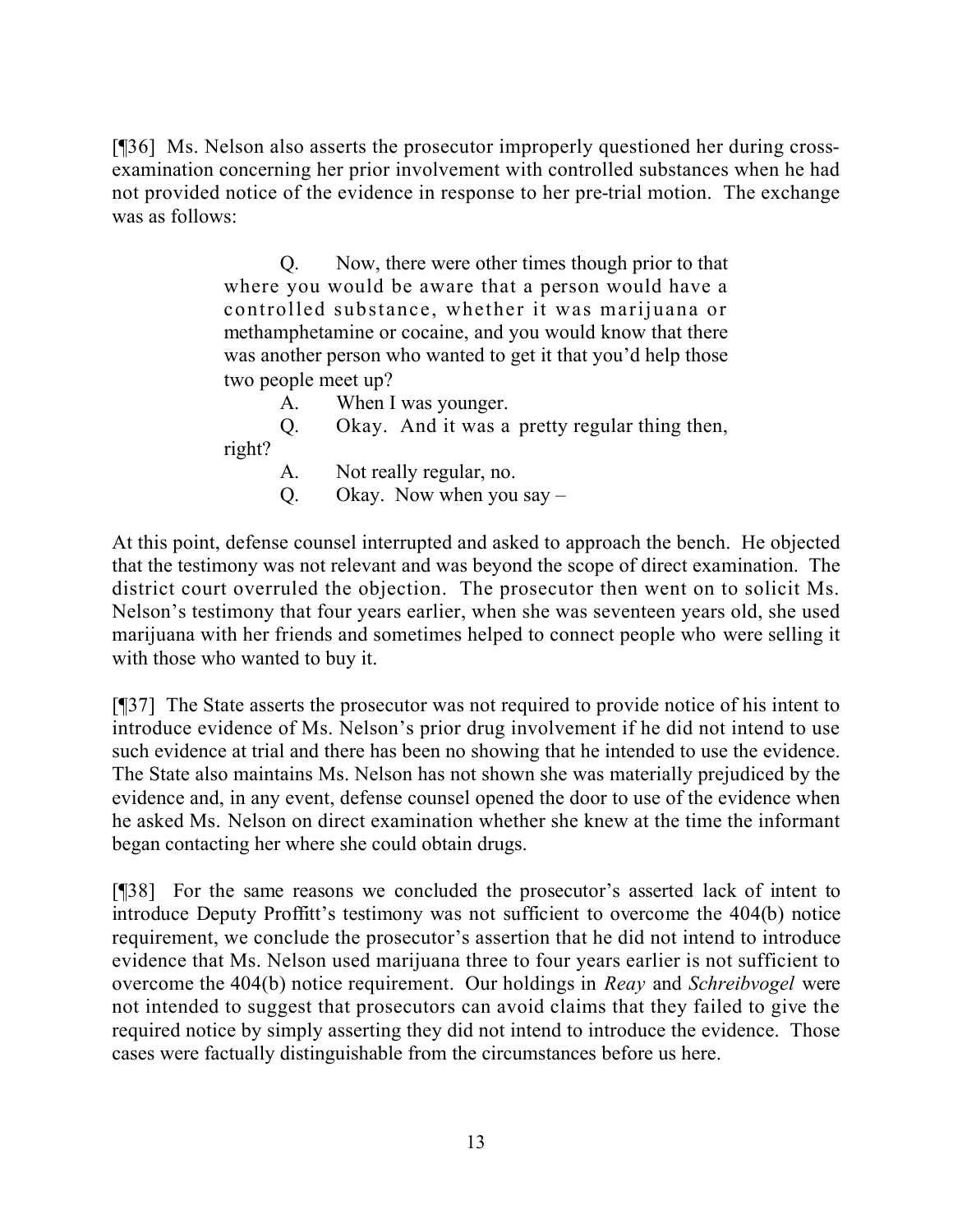[¶36] Ms. Nelson also asserts the prosecutor improperly questioned her during crossexamination concerning her prior involvement with controlled substances when he had not provided notice of the evidence in response to her pre-trial motion. The exchange was as follows:

> Q. Now, there were other times though prior to that where you would be aware that a person would have a controlled substance, whether it was marijuana or methamphetamine or cocaine, and you would know that there was another person who wanted to get it that you'd help those two people meet up?

A. When I was younger.

Q. Okay. And it was a pretty regular thing then,

right?

- A. Not really regular, no.
- Q. Okay. Now when you say –

At this point, defense counsel interrupted and asked to approach the bench. He objected that the testimony was not relevant and was beyond the scope of direct examination. The district court overruled the objection. The prosecutor then went on to solicit Ms. Nelson's testimony that four years earlier, when she was seventeen years old, she used marijuana with her friends and sometimes helped to connect people who were selling it with those who wanted to buy it.

[¶37] The State asserts the prosecutor was not required to provide notice of his intent to introduce evidence of Ms. Nelson's prior drug involvement if he did not intend to use such evidence at trial and there has been no showing that he intended to use the evidence. The State also maintains Ms. Nelson has not shown she was materially prejudiced by the evidence and, in any event, defense counsel opened the door to use of the evidence when he asked Ms. Nelson on direct examination whether she knew at the time the informant began contacting her where she could obtain drugs.

[¶38] For the same reasons we concluded the prosecutor's asserted lack of intent to introduce Deputy Proffitt's testimony was not sufficient to overcome the 404(b) notice requirement, we conclude the prosecutor's assertion that he did not intend to introduce evidence that Ms. Nelson used marijuana three to four years earlier is not sufficient to overcome the 404(b) notice requirement. Our holdings in *Reay* and *Schreibvogel* were not intended to suggest that prosecutors can avoid claims that they failed to give the required notice by simply asserting they did not intend to introduce the evidence. Those cases were factually distinguishable from the circumstances before us here.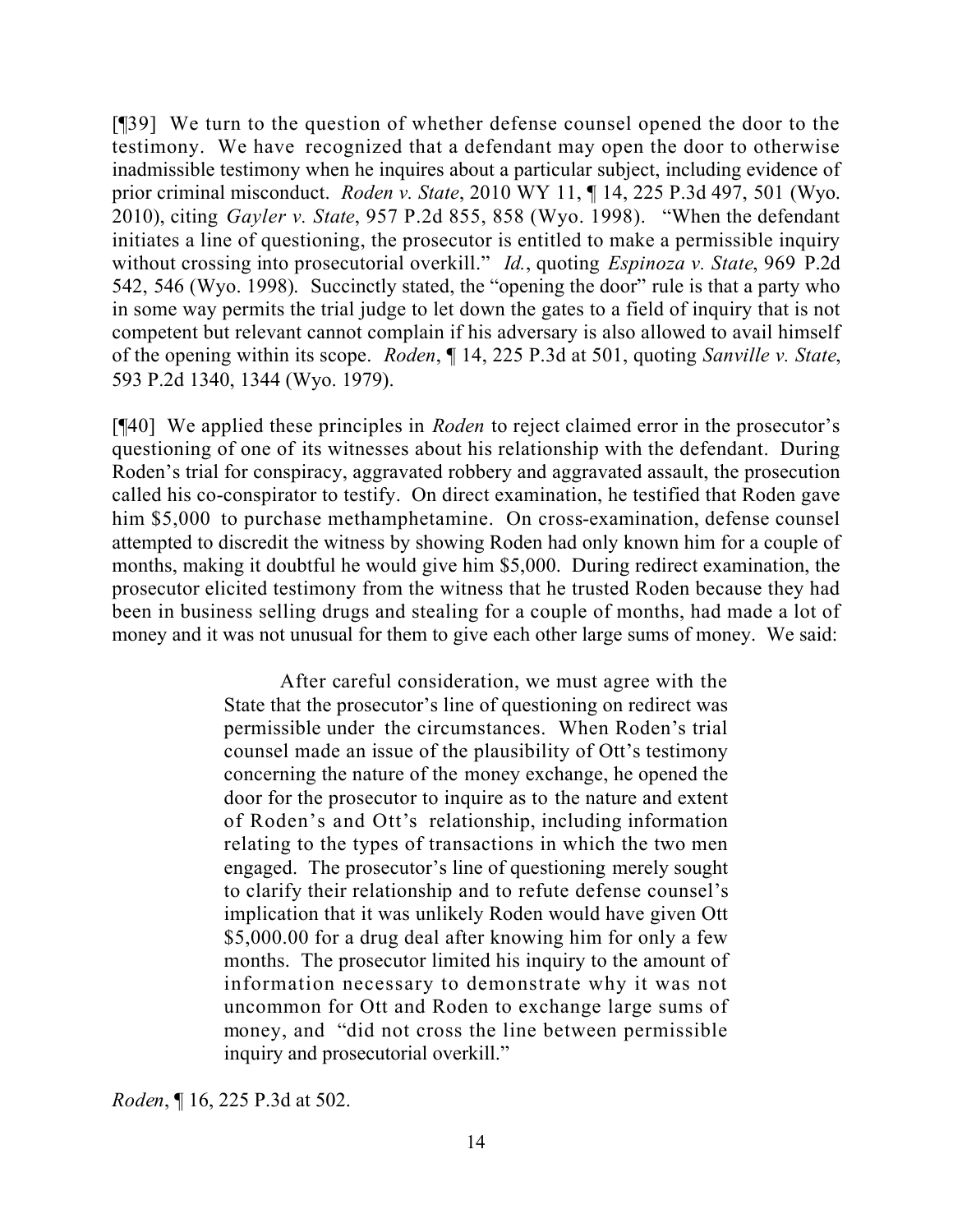[¶39] We turn to the question of whether defense counsel opened the door to the testimony. We have recognized that a defendant may open the door to otherwise inadmissible testimony when he inquires about a particular subject, including evidence of prior criminal misconduct. *Roden v. State*, 2010 WY 11, ¶ 14, 225 P.3d 497, 501 (Wyo. 2010), citing *Gayler v. State*, 957 P.2d 855, 858 (Wyo. 1998). "When the defendant initiates a line of questioning, the prosecutor is entitled to make a permissible inquiry without crossing into prosecutorial overkill." *Id.*, quoting *Espinoza v. State*, 969 P.2d 542, 546 (Wyo. 1998). Succinctly stated, the "opening the door" rule is that a party who in some way permits the trial judge to let down the gates to a field of inquiry that is not competent but relevant cannot complain if his adversary is also allowed to avail himself of the opening within its scope. *Roden*, ¶ 14, 225 P.3d at 501, quoting *Sanville v. State*, 593 P.2d 1340, 1344 (Wyo. 1979).

[¶40] We applied these principles in *Roden* to reject claimed error in the prosecutor's questioning of one of its witnesses about his relationship with the defendant. During Roden's trial for conspiracy, aggravated robbery and aggravated assault, the prosecution called his co-conspirator to testify. On direct examination, he testified that Roden gave him \$5,000 to purchase methamphetamine. On cross-examination, defense counsel attempted to discredit the witness by showing Roden had only known him for a couple of months, making it doubtful he would give him \$5,000. During redirect examination, the prosecutor elicited testimony from the witness that he trusted Roden because they had been in business selling drugs and stealing for a couple of months, had made a lot of money and it was not unusual for them to give each other large sums of money. We said:

> After careful consideration, we must agree with the State that the prosecutor's line of questioning on redirect was permissible under the circumstances. When Roden's trial counsel made an issue of the plausibility of Ott's testimony concerning the nature of the money exchange, he opened the door for the prosecutor to inquire as to the nature and extent of Roden's and Ott's relationship, including information relating to the types of transactions in which the two men engaged. The prosecutor's line of questioning merely sought to clarify their relationship and to refute defense counsel's implication that it was unlikely Roden would have given Ott \$5,000.00 for a drug deal after knowing him for only a few months. The prosecutor limited his inquiry to the amount of information necessary to demonstrate why it was not uncommon for Ott and Roden to exchange large sums of money, and "did not cross the line between permissible inquiry and prosecutorial overkill."

*Roden*, ¶ 16, 225 P.3d at 502.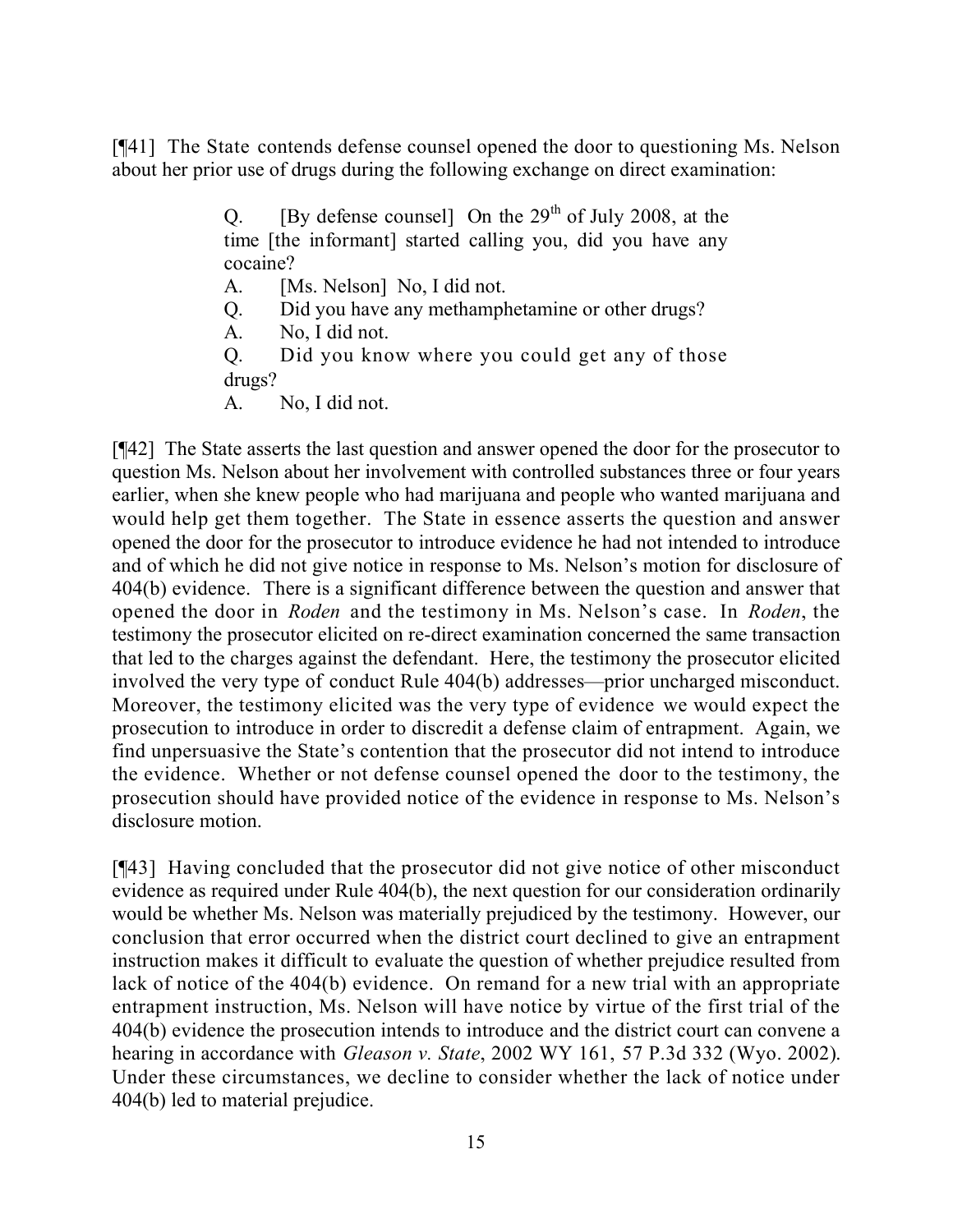[¶41] The State contends defense counsel opened the door to questioning Ms. Nelson about her prior use of drugs during the following exchange on direct examination:

> Q. [By defense counsel] On the  $29<sup>th</sup>$  of July 2008, at the time [the informant] started calling you, did you have any cocaine?

- A. [Ms. Nelson] No, I did not.
- Q. Did you have any methamphetamine or other drugs?
- A. No, I did not.

Q. Did you know where you could get any of those drugs?

A. No, I did not.

[¶42] The State asserts the last question and answer opened the door for the prosecutor to question Ms. Nelson about her involvement with controlled substances three or four years earlier, when she knew people who had marijuana and people who wanted marijuana and would help get them together. The State in essence asserts the question and answer opened the door for the prosecutor to introduce evidence he had not intended to introduce and of which he did not give notice in response to Ms. Nelson's motion for disclosure of 404(b) evidence. There is a significant difference between the question and answer that opened the door in *Roden* and the testimony in Ms. Nelson's case. In *Roden*, the testimony the prosecutor elicited on re-direct examination concerned the same transaction that led to the charges against the defendant. Here, the testimony the prosecutor elicited involved the very type of conduct Rule 404(b) addresses—prior uncharged misconduct. Moreover, the testimony elicited was the very type of evidence we would expect the prosecution to introduce in order to discredit a defense claim of entrapment. Again, we find unpersuasive the State's contention that the prosecutor did not intend to introduce the evidence. Whether or not defense counsel opened the door to the testimony, the prosecution should have provided notice of the evidence in response to Ms. Nelson's disclosure motion.

[¶43] Having concluded that the prosecutor did not give notice of other misconduct evidence as required under Rule 404(b), the next question for our consideration ordinarily would be whether Ms. Nelson was materially prejudiced by the testimony. However, our conclusion that error occurred when the district court declined to give an entrapment instruction makes it difficult to evaluate the question of whether prejudice resulted from lack of notice of the 404(b) evidence. On remand for a new trial with an appropriate entrapment instruction, Ms. Nelson will have notice by virtue of the first trial of the 404(b) evidence the prosecution intends to introduce and the district court can convene a hearing in accordance with *Gleason v. State*, 2002 WY 161, 57 P.3d 332 (Wyo. 2002). Under these circumstances, we decline to consider whether the lack of notice under 404(b) led to material prejudice.